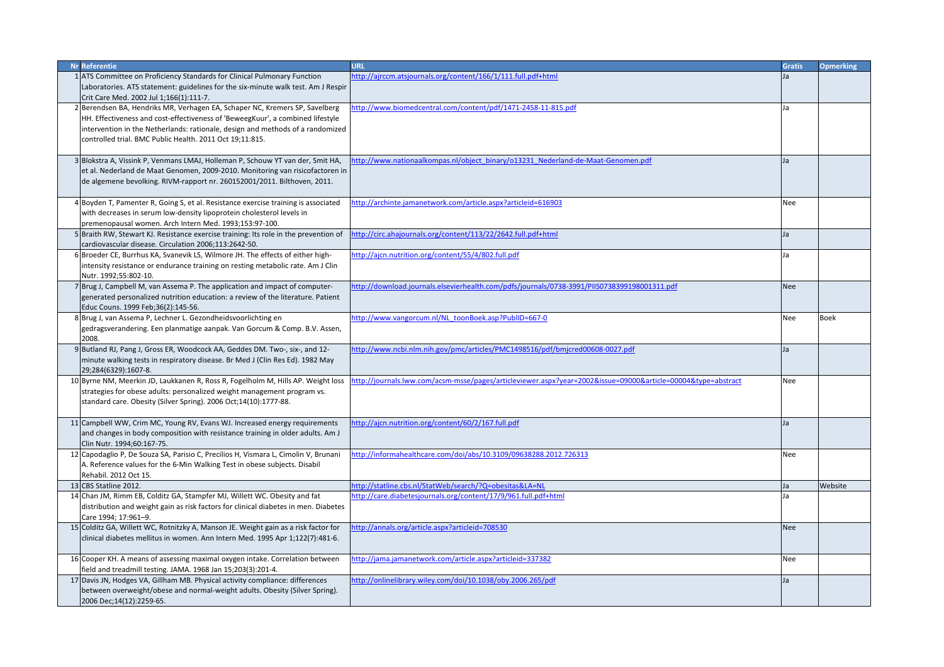| <b>Nr Referentie</b>                                                                                                                                         | <b>URL</b>                                                                                                   | <b>Gratis</b> | <b>Opmerking</b> |
|--------------------------------------------------------------------------------------------------------------------------------------------------------------|--------------------------------------------------------------------------------------------------------------|---------------|------------------|
| 1 ATS Committee on Proficiency Standards for Clinical Pulmonary Function                                                                                     | http://airccm.atsiournals.org/content/166/1/111.full.pdf+html                                                | Ja            |                  |
| Laboratories. ATS statement: guidelines for the six-minute walk test. Am J Respir                                                                            |                                                                                                              |               |                  |
| Crit Care Med. 2002 Jul 1;166(1):111-7.                                                                                                                      |                                                                                                              |               |                  |
| 2 Berendsen BA, Hendriks MR, Verhagen EA, Schaper NC, Kremers SP, Savelberg                                                                                  | http://www.biomedcentral.com/content/pdf/1471-2458-11-815.pdf                                                | Ja            |                  |
| HH. Effectiveness and cost-effectiveness of 'BeweegKuur', a combined lifestyle                                                                               |                                                                                                              |               |                  |
| intervention in the Netherlands: rationale, design and methods of a randomized                                                                               |                                                                                                              |               |                  |
| controlled trial. BMC Public Health. 2011 Oct 19:11:815.                                                                                                     |                                                                                                              |               |                  |
|                                                                                                                                                              |                                                                                                              |               |                  |
| 3 Blokstra A, Vissink P, Venmans LMAJ, Holleman P, Schouw YT van der, Smit HA,                                                                               | http://www.nationaalkompas.nl/object binary/013231 Nederland-de-Maat-Genomen.pdf                             | la            |                  |
| et al. Nederland de Maat Genomen, 2009-2010. Monitoring van risicofactoren in                                                                                |                                                                                                              |               |                  |
| de algemene bevolking. RIVM-rapport nr. 260152001/2011. Bilthoven, 2011.                                                                                     |                                                                                                              |               |                  |
| 4 Boyden T, Pamenter R, Going S, et al. Resistance exercise training is associated                                                                           | http://archinte.jamanetwork.com/article.aspx?articleid=616903                                                | Nee           |                  |
| with decreases in serum low-density lipoprotein cholesterol levels in                                                                                        |                                                                                                              |               |                  |
| premenopausal women. Arch Intern Med. 1993;153:97-100.                                                                                                       |                                                                                                              |               |                  |
| 5 Braith RW, Stewart KJ. Resistance exercise training: Its role in the prevention of                                                                         | http://circ.ahajournals.org/content/113/22/2642.full.pdf+html                                                | Ja            |                  |
| cardiovascular disease. Circulation 2006;113:2642-50.                                                                                                        |                                                                                                              |               |                  |
| 6 Broeder CE, Burrhus KA, Svanevik LS, Wilmore JH. The effects of either high-                                                                               | http://ajcn.nutrition.org/content/55/4/802.full.pdf                                                          | Ja            |                  |
| intensity resistance or endurance training on resting metabolic rate. Am J Clin                                                                              |                                                                                                              |               |                  |
| Nutr. 1992;55:802-10.                                                                                                                                        |                                                                                                              |               |                  |
| 7 Brug J, Campbell M, van Assema P. The application and impact of computer-                                                                                  | http://download.journals.elsevierhealth.com/pdfs/journals/0738-3991/PIIS0738399198001311.pdf                 | Nee           |                  |
| generated personalized nutrition education: a review of the literature. Patient                                                                              |                                                                                                              |               |                  |
| Educ Couns. 1999 Feb;36(2):145-56.                                                                                                                           |                                                                                                              |               |                  |
| 8 Brug J, van Assema P, Lechner L. Gezondheidsvoorlichting en                                                                                                | http://www.vangorcum.nl/NL toonBoek.asp?PublID=667-0                                                         | Nee           | <b>Boek</b>      |
| gedragsverandering. Een planmatige aanpak. Van Gorcum & Comp. B.V. Assen,                                                                                    |                                                                                                              |               |                  |
| 2008.                                                                                                                                                        |                                                                                                              |               |                  |
| 9 Butland RJ, Pang J, Gross ER, Woodcock AA, Geddes DM. Two-, six-, and 12-                                                                                  | http://www.ncbi.nlm.nih.gov/pmc/articles/PMC1498516/pdf/bmjcred00608-0027.pdf                                | Ja            |                  |
| minute walking tests in respiratory disease. Br Med J (Clin Res Ed). 1982 May                                                                                |                                                                                                              |               |                  |
| 29;284(6329):1607-8.                                                                                                                                         |                                                                                                              |               |                  |
| 10 Byrne NM, Meerkin JD, Laukkanen R, Ross R, Fogelholm M, Hills AP. Weight loss                                                                             | http://journals.lww.com/acsm-msse/pages/articleviewer.aspx?year=2002&issue=09000&article=00004&type=abstract | Nee           |                  |
| strategies for obese adults: personalized weight management program vs.<br>standard care. Obesity (Silver Spring). 2006 Oct;14(10):1777-88.                  |                                                                                                              |               |                  |
|                                                                                                                                                              |                                                                                                              |               |                  |
| 11 Campbell WW, Crim MC, Young RV, Evans WJ. Increased energy requirements                                                                                   | http://ajcn.nutrition.org/content/60/2/167.full.pdf                                                          | la            |                  |
| and changes in body composition with resistance training in older adults. Am J                                                                               |                                                                                                              |               |                  |
| Clin Nutr. 1994;60:167-75.                                                                                                                                   |                                                                                                              |               |                  |
| 12 Capodaglio P, De Souza SA, Parisio C, Precilios H, Vismara L, Cimolin V, Brunani                                                                          | http://informahealthcare.com/doi/abs/10.3109/09638288.2012.726313                                            | Nee           |                  |
| A. Reference values for the 6-Min Walking Test in obese subjects. Disabil                                                                                    |                                                                                                              |               |                  |
| Rehabil. 2012 Oct 15.                                                                                                                                        |                                                                                                              |               |                  |
| 13 CBS Statline 2012.                                                                                                                                        | http://statline.cbs.nl/StatWeb/search/?Q=obesitas&LA=NL                                                      | Ja            | Website          |
| 14 Chan JM, Rimm EB, Colditz GA, Stampfer MJ, Willett WC. Obesity and fat                                                                                    | http://care.diabetesjournals.org/content/17/9/961.full.pdf+html                                              | Ja            |                  |
| distribution and weight gain as risk factors for clinical diabetes in men. Diabetes                                                                          |                                                                                                              |               |                  |
| Care 1994; 17:961-9.                                                                                                                                         |                                                                                                              |               |                  |
| 15 Colditz GA, Willett WC, Rotnitzky A, Manson JE. Weight gain as a risk factor for                                                                          | http://annals.org/article.aspx?articleid=708530                                                              | Nee           |                  |
| clinical diabetes mellitus in women. Ann Intern Med. 1995 Apr 1;122(7):481-6.                                                                                |                                                                                                              |               |                  |
|                                                                                                                                                              |                                                                                                              |               |                  |
| 16 Cooper KH. A means of assessing maximal oxygen intake. Correlation between                                                                                | http://jama.jamanetwork.com/article.aspx?articleid=337382                                                    | Nee           |                  |
| field and treadmill testing. JAMA. 1968 Jan 15;203(3):201-4.                                                                                                 | http://onlinelibrary.wiley.com/doi/10.1038/oby.2006.265/pdf                                                  |               |                  |
| 17 Davis JN, Hodges VA, Gillham MB. Physical activity compliance: differences<br>between overweight/obese and normal-weight adults. Obesity (Silver Spring). |                                                                                                              | Ja            |                  |
|                                                                                                                                                              |                                                                                                              |               |                  |
| 2006 Dec; 14(12): 2259-65.                                                                                                                                   |                                                                                                              |               |                  |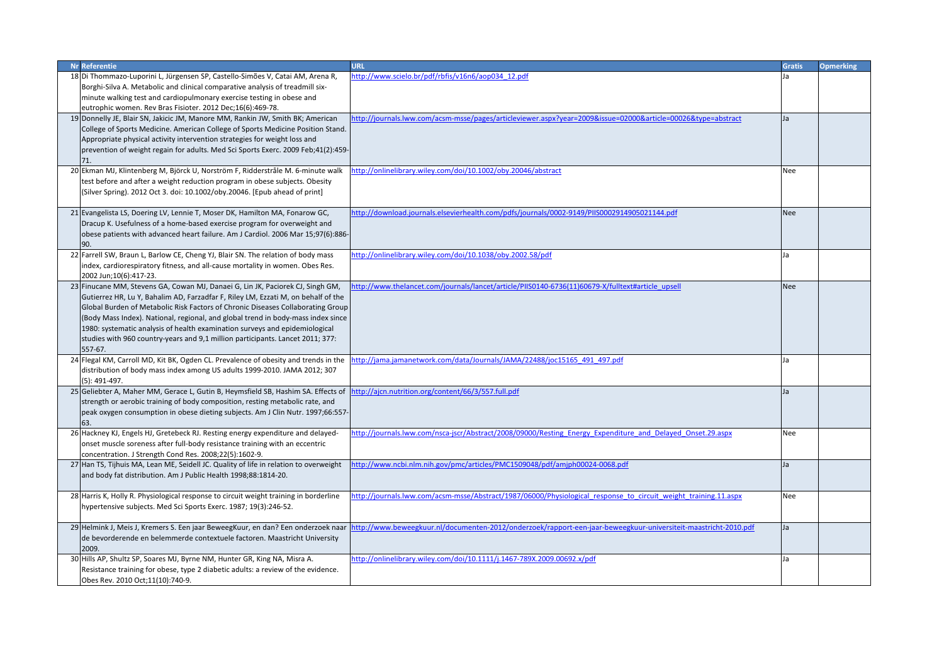| <b>Nr Referentie</b>                                                                  | <b>URL</b>                                                                                                      | <b>Gratis</b> | <b>Opmerking</b> |
|---------------------------------------------------------------------------------------|-----------------------------------------------------------------------------------------------------------------|---------------|------------------|
| 18 Di Thommazo-Luporini L, Jürgensen SP, Castello-Simões V, Catai AM, Arena R,        | http://www.scielo.br/pdf/rbfis/v16n6/aop034_12.pdf                                                              | Ja            |                  |
| Borghi-Silva A. Metabolic and clinical comparative analysis of treadmill six-         |                                                                                                                 |               |                  |
| minute walking test and cardiopulmonary exercise testing in obese and                 |                                                                                                                 |               |                  |
| eutrophic women. Rev Bras Fisioter. 2012 Dec;16(6):469-78.                            |                                                                                                                 |               |                  |
| 19 Donnelly JE, Blair SN, Jakicic JM, Manore MM, Rankin JW, Smith BK; American        | ttp://journals.lww.com/acsm-msse/pages/articleviewer.aspx?year=2009&issue=02000&article=00026&type=abstract     | Ja            |                  |
| College of Sports Medicine. American College of Sports Medicine Position Stand.       |                                                                                                                 |               |                  |
| Appropriate physical activity intervention strategies for weight loss and             |                                                                                                                 |               |                  |
| prevention of weight regain for adults. Med Sci Sports Exerc. 2009 Feb;41(2):459-     |                                                                                                                 |               |                  |
| 71.                                                                                   |                                                                                                                 |               |                  |
| 20 Ekman MJ, Klintenberg M, Björck U, Norström F, Ridderstråle M. 6-minute walk       | http://onlinelibrary.wiley.com/doi/10.1002/oby.20046/abstract                                                   | Nee           |                  |
| test before and after a weight reduction program in obese subjects. Obesity           |                                                                                                                 |               |                  |
| (Silver Spring). 2012 Oct 3. doi: 10.1002/oby.20046. [Epub ahead of print]            |                                                                                                                 |               |                  |
|                                                                                       |                                                                                                                 |               |                  |
| 21 Evangelista LS, Doering LV, Lennie T, Moser DK, Hamilton MA, Fonarow GC,           | http://download.journals.elsevierhealth.com/pdfs/journals/0002-9149/PIIS0002914905021144.pdf                    | <b>Nee</b>    |                  |
| Dracup K. Usefulness of a home-based exercise program for overweight and              |                                                                                                                 |               |                  |
| obese patients with advanced heart failure. Am J Cardiol. 2006 Mar 15;97(6):886-      |                                                                                                                 |               |                  |
| 90.                                                                                   |                                                                                                                 |               |                  |
| 22 Farrell SW, Braun L, Barlow CE, Cheng YJ, Blair SN. The relation of body mass      | http://onlinelibrary.wiley.com/doi/10.1038/oby.2002.58/pdf                                                      | Ja            |                  |
| index, cardiorespiratory fitness, and all-cause mortality in women. Obes Res.         |                                                                                                                 |               |                  |
| 2002 Jun;10(6):417-23.                                                                |                                                                                                                 |               |                  |
| 23 Finucane MM, Stevens GA, Cowan MJ, Danaei G, Lin JK, Paciorek CJ, Singh GM,        | http://www.thelancet.com/journals/lancet/article/PIIS0140-6736(11)60679-X/fulltext#article upsell               | <b>Nee</b>    |                  |
| Gutierrez HR, Lu Y, Bahalim AD, Farzadfar F, Riley LM, Ezzati M, on behalf of the     |                                                                                                                 |               |                  |
| Global Burden of Metabolic Risk Factors of Chronic Diseases Collaborating Group       |                                                                                                                 |               |                  |
| (Body Mass Index). National, regional, and global trend in body-mass index since      |                                                                                                                 |               |                  |
| 1980: systematic analysis of health examination surveys and epidemiological           |                                                                                                                 |               |                  |
| studies with 960 country-years and 9,1 million participants. Lancet 2011; 377:        |                                                                                                                 |               |                  |
| 557-67.                                                                               |                                                                                                                 |               |                  |
| 24 Flegal KM, Carroll MD, Kit BK, Ogden CL. Prevalence of obesity and trends in the   | nttp://jama.jamanetwork.com/data/Journals/JAMA/22488/joc15165 491 497.pdf                                       | Ja            |                  |
| distribution of body mass index among US adults 1999-2010. JAMA 2012; 307             |                                                                                                                 |               |                  |
| (5): 491-497.                                                                         |                                                                                                                 |               |                  |
| 25 Geliebter A, Maher MM, Gerace L, Gutin B, Heymsfield SB, Hashim SA. Effects of     | http://ajcn.nutrition.org/content/66/3/557.full.pdf                                                             | Ja            |                  |
| strength or aerobic training of body composition, resting metabolic rate, and         |                                                                                                                 |               |                  |
| peak oxygen consumption in obese dieting subjects. Am J Clin Nutr. 1997;66:557-       |                                                                                                                 |               |                  |
| 63.                                                                                   |                                                                                                                 |               |                  |
| 26 Hackney KJ, Engels HJ, Gretebeck RJ. Resting energy expenditure and delayed-       | http://journals.lww.com/nsca-jscr/Abstract/2008/09000/Resting Energy Expenditure and Delayed Onset.29.aspx      | Nee           |                  |
| onset muscle soreness after full-body resistance training with an eccentric           |                                                                                                                 |               |                  |
| concentration. J Strength Cond Res. 2008;22(5):1602-9.                                |                                                                                                                 |               |                  |
| 27 Han TS, Tijhuis MA, Lean ME, Seidell JC. Quality of life in relation to overweight | ttp://www.ncbi.nlm.nih.gov/pmc/articles/PMC1509048/pdf/amjph00024-0068.pdf                                      | Ja            |                  |
| and body fat distribution. Am J Public Health 1998;88:1814-20.                        |                                                                                                                 |               |                  |
|                                                                                       |                                                                                                                 |               |                  |
| 28 Harris K, Holly R. Physiological response to circuit weight training in borderline | http://journals.lww.com/acsm-msse/Abstract/1987/06000/Physiological response to circuit weight training.11.aspx | Nee           |                  |
| hypertensive subjects. Med Sci Sports Exerc. 1987; 19(3):246-52.                      |                                                                                                                 |               |                  |
|                                                                                       |                                                                                                                 |               |                  |
| 29 Helmink J, Meis J, Kremers S. Een jaar BeweegKuur, en dan? Een onderzoek naar      | ttp://www.beweegkuur.nl/documenten-2012/onderzoek/rapport-een-jaar-beweegkuur-universiteit-maastricht-2010.pdf  | Ja            |                  |
| de bevorderende en belemmerde contextuele factoren. Maastricht University             |                                                                                                                 |               |                  |
| 2009.                                                                                 |                                                                                                                 |               |                  |
| 30 Hills AP, Shultz SP, Soares MJ, Byrne NM, Hunter GR, King NA, Misra A.             | http://onlinelibrary.wiley.com/doi/10.1111/j.1467-789X.2009.00692.x/pdf                                         | Ja            |                  |
| Resistance training for obese, type 2 diabetic adults: a review of the evidence.      |                                                                                                                 |               |                  |
| Obes Rev. 2010 Oct;11(10):740-9.                                                      |                                                                                                                 |               |                  |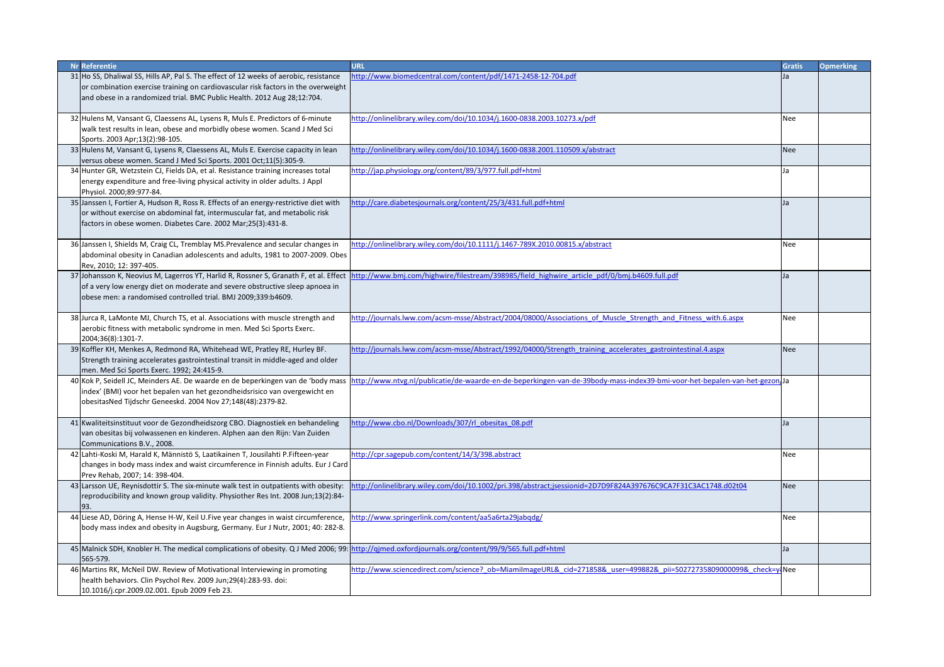| Nr Referentie                                                                                                                                     | <b>URL</b>                                                                                                                  | <b>Gratis</b> | <b>Opmerking</b> |
|---------------------------------------------------------------------------------------------------------------------------------------------------|-----------------------------------------------------------------------------------------------------------------------------|---------------|------------------|
| 31 Ho SS, Dhaliwal SS, Hills AP, Pal S. The effect of 12 weeks of aerobic, resistance                                                             | http://www.biomedcentral.com/content/pdf/1471-2458-12-704.pdf                                                               |               |                  |
| or combination exercise training on cardiovascular risk factors in the overweight                                                                 |                                                                                                                             |               |                  |
| and obese in a randomized trial. BMC Public Health. 2012 Aug 28;12:704.                                                                           |                                                                                                                             |               |                  |
|                                                                                                                                                   |                                                                                                                             |               |                  |
| 32 Hulens M, Vansant G, Claessens AL, Lysens R, Muls E. Predictors of 6-minute                                                                    | ttp://onlinelibrary.wiley.com/doi/10.1034/j.1600-0838.2003.10273.x/pdf                                                      | Nee           |                  |
| walk test results in lean, obese and morbidly obese women. Scand J Med Sci                                                                        |                                                                                                                             |               |                  |
| Sports. 2003 Apr;13(2):98-105.                                                                                                                    |                                                                                                                             |               |                  |
| 33 Hulens M, Vansant G, Lysens R, Claessens AL, Muls E. Exercise capacity in lean                                                                 | ttp://onlinelibrary.wiley.com/doi/10.1034/j.1600-0838.2001.110509.x/abstract                                                | <b>Nee</b>    |                  |
| versus obese women. Scand J Med Sci Sports. 2001 Oct;11(5):305-9.                                                                                 |                                                                                                                             |               |                  |
| 34 Hunter GR, Wetzstein CJ, Fields DA, et al. Resistance training increases total                                                                 | http://jap.physiology.org/content/89/3/977.full.pdf+html                                                                    |               |                  |
| energy expenditure and free-living physical activity in older adults. J Appl                                                                      |                                                                                                                             |               |                  |
| Physiol. 2000;89:977-84.                                                                                                                          |                                                                                                                             |               |                  |
| 35 Janssen I, Fortier A, Hudson R, Ross R. Effects of an energy-restrictive diet with                                                             | ttp://care.diabetesjournals.org/content/25/3/431.full.pdf+html                                                              |               |                  |
| or without exercise on abdominal fat, intermuscular fat, and metabolic risk                                                                       |                                                                                                                             |               |                  |
| factors in obese women. Diabetes Care. 2002 Mar;25(3):431-8.                                                                                      |                                                                                                                             |               |                  |
|                                                                                                                                                   |                                                                                                                             |               |                  |
| 36 Janssen I, Shields M, Craig CL, Tremblay MS.Prevalence and secular changes in                                                                  | http://onlinelibrary.wiley.com/doi/10.1111/j.1467-789X.2010.00815.x/abstract                                                | Nee           |                  |
| abdominal obesity in Canadian adolescents and adults, 1981 to 2007-2009. Obes                                                                     |                                                                                                                             |               |                  |
| Rev, 2010; 12: 397-405.                                                                                                                           |                                                                                                                             |               |                  |
| 37 Johansson K, Neovius M, Lagerros YT, Harlid R, Rossner S, Granath F, et al. Effect                                                             |                                                                                                                             |               |                  |
|                                                                                                                                                   | http://www.bmj.com/highwire/filestream/398985/field highwire article pdf/0/bmj.b4609.full.pdf                               |               |                  |
| of a very low energy diet on moderate and severe obstructive sleep apnoea in                                                                      |                                                                                                                             |               |                  |
| obese men: a randomised controlled trial. BMJ 2009;339:b4609.                                                                                     |                                                                                                                             |               |                  |
|                                                                                                                                                   |                                                                                                                             |               |                  |
| 38 Jurca R, LaMonte MJ, Church TS, et al. Associations with muscle strength and                                                                   | ittp://journals.lww.com/acsm-msse/Abstract/2004/08000/Associations of Muscle Strength and Fitness with.6.aspx               | Nee           |                  |
| aerobic fitness with metabolic syndrome in men. Med Sci Sports Exerc.                                                                             |                                                                                                                             |               |                  |
| 2004;36(8):1301-7.                                                                                                                                |                                                                                                                             |               |                  |
| 39 Koffler KH, Menkes A, Redmond RA, Whitehead WE, Pratley RE, Hurley BF.                                                                         | ittp://journals.lww.com/acsm-msse/Abstract/1992/04000/Strength training accelerates gastrointestinal.4.aspx                 | <b>Nee</b>    |                  |
| Strength training accelerates gastrointestinal transit in middle-aged and older                                                                   |                                                                                                                             |               |                  |
| men. Med Sci Sports Exerc. 1992; 24:415-9.                                                                                                        |                                                                                                                             |               |                  |
| 40 Kok P, Seidell JC, Meinders AE. De waarde en de beperkingen van de 'body mass                                                                  | http://www.ntvg.nl/publicatie/de-waarde-en-de-beperkingen-van-de-39body-mass-index39-bmi-voor-het-bepalen-van-het-gezon. Ja |               |                  |
| index' (BMI) voor het bepalen van het gezondheidsrisico van overgewicht en                                                                        |                                                                                                                             |               |                  |
| obesitasNed Tijdschr Geneeskd. 2004 Nov 27;148(48):2379-82.                                                                                       |                                                                                                                             |               |                  |
|                                                                                                                                                   |                                                                                                                             |               |                  |
| 41 Kwaliteitsinstituut voor de Gezondheidszorg CBO. Diagnostiek en behandeling                                                                    | ttp://www.cbo.nl/Downloads/307/rl obesitas 08.pdf                                                                           |               |                  |
| van obesitas bij volwassenen en kinderen. Alphen aan den Rijn: Van Zuiden                                                                         |                                                                                                                             |               |                  |
| Communications B.V., 2008.                                                                                                                        |                                                                                                                             |               |                  |
| 42 Lahti-Koski M, Harald K, Männistö S, Laatikainen T, Jousilahti P.Fifteen-year                                                                  | http://cpr.sagepub.com/content/14/3/398.abstract                                                                            | <b>Nee</b>    |                  |
|                                                                                                                                                   |                                                                                                                             |               |                  |
| changes in body mass index and waist circumference in Finnish adults. Eur J Card                                                                  |                                                                                                                             |               |                  |
| Prev Rehab, 2007; 14: 398-404.                                                                                                                    |                                                                                                                             |               |                  |
| 43 Larsson UE, Reynisdottir S. The six-minute walk test in outpatients with obesity:                                                              | http://onlinelibrary.wiley.com/doi/10.1002/pri.398/abstract;jsessionid=2D7D9F824A397676C9CA7F31C3AC1748.d02t04              | <b>Nee</b>    |                  |
| reproducibility and known group validity. Physiother Res Int. 2008 Jun;13(2):84-                                                                  |                                                                                                                             |               |                  |
|                                                                                                                                                   |                                                                                                                             |               |                  |
| 44 Liese AD, Döring A, Hense H-W, Keil U. Five year changes in waist circumference,                                                               | http://www.springerlink.com/content/aa5a6rta29jabqdg/                                                                       | Nee           |                  |
| body mass index and obesity in Augsburg, Germany. Eur J Nutr, 2001; 40: 282-8.                                                                    |                                                                                                                             |               |                  |
|                                                                                                                                                   |                                                                                                                             |               |                  |
| 45 Malnick SDH, Knobler H. The medical complications of obesity. Q J Med 2006; 99: http://gimed.oxfordjournals.org/content/99/9/565.full.pdf+html |                                                                                                                             |               |                  |
| 565-579.                                                                                                                                          |                                                                                                                             |               |                  |
| 46 Martins RK, McNeil DW. Review of Motivational Interviewing in promoting                                                                        | ttp://www.sciencedirect.com/science? ob=MiamiImageURL& cid=271858& user=499882& pii=S0272735809000099& check=ylNee          |               |                  |
| health behaviors. Clin Psychol Rev. 2009 Jun;29(4):283-93. doi:                                                                                   |                                                                                                                             |               |                  |
| 10.1016/j.cpr.2009.02.001. Epub 2009 Feb 23.                                                                                                      |                                                                                                                             |               |                  |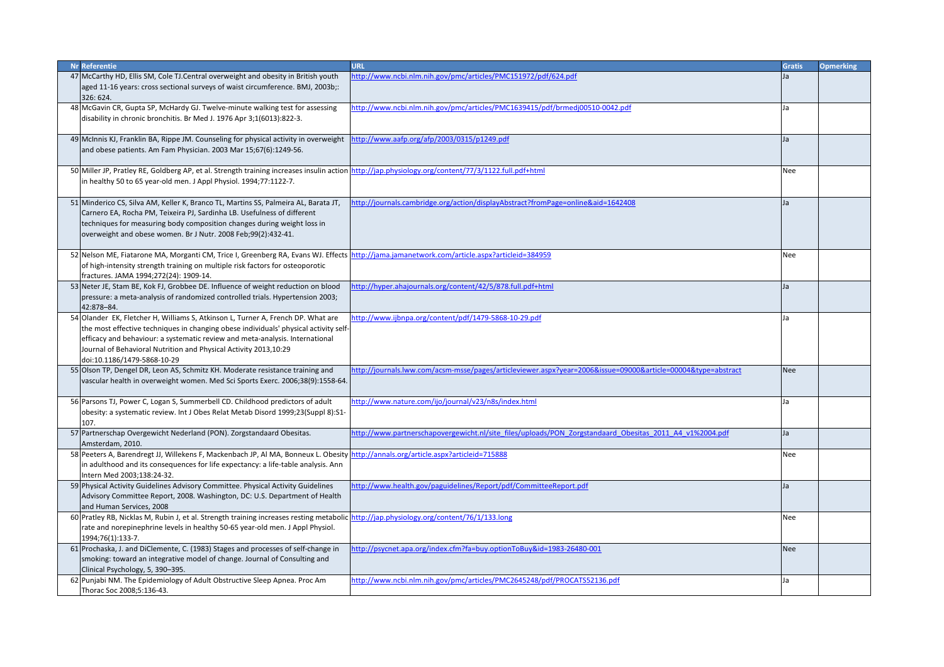| <b>Nr Referentie</b>                                                                                                                                                     | <b>URL</b>                                                                                                   | <b>Gratis</b> | <b>Opmerking</b> |
|--------------------------------------------------------------------------------------------------------------------------------------------------------------------------|--------------------------------------------------------------------------------------------------------------|---------------|------------------|
| 47 McCarthy HD, Ellis SM, Cole TJ Central overweight and obesity in British youth                                                                                        | http://www.ncbi.nlm.nih.gov/pmc/articles/PMC151972/pdf/624.pdf                                               | la            |                  |
| aged 11-16 years: cross sectional surveys of waist circumference. BMJ, 2003b;:                                                                                           |                                                                                                              |               |                  |
| 326: 624.                                                                                                                                                                |                                                                                                              |               |                  |
| 48 McGavin CR, Gupta SP, McHardy GJ. Twelve-minute walking test for assessing                                                                                            | http://www.ncbi.nlm.nih.gov/pmc/articles/PMC1639415/pdf/brmedj00510-0042.pdf                                 | Ja            |                  |
| disability in chronic bronchitis. Br Med J. 1976 Apr 3;1(6013):822-3.                                                                                                    |                                                                                                              |               |                  |
|                                                                                                                                                                          |                                                                                                              |               |                  |
| 49 McInnis KJ, Franklin BA, Rippe JM. Counseling for physical activity in overweight                                                                                     | http://www.aafp.org/afp/2003/0315/p1249.pdf                                                                  | Ja            |                  |
| and obese patients. Am Fam Physician. 2003 Mar 15;67(6):1249-56.                                                                                                         |                                                                                                              |               |                  |
|                                                                                                                                                                          |                                                                                                              |               |                  |
| 50 Miller JP, Pratley RE, Goldberg AP, et al. Strength training increases insulin action http://jap.physiology.org/content/77/3/1122.full.pdf+html                       |                                                                                                              | Nee           |                  |
| in healthy 50 to 65 year-old men. J Appl Physiol. 1994;77:1122-7.                                                                                                        |                                                                                                              |               |                  |
|                                                                                                                                                                          |                                                                                                              |               |                  |
| 51 Minderico CS, Silva AM, Keller K, Branco TL, Martins SS, Palmeira AL, Barata JT,                                                                                      | http://journals.cambridge.org/action/displayAbstract?fromPage=online&aid=1642408                             | Ja            |                  |
| Carnero EA, Rocha PM, Teixeira PJ, Sardinha LB. Usefulness of different                                                                                                  |                                                                                                              |               |                  |
| techniques for measuring body composition changes during weight loss in                                                                                                  |                                                                                                              |               |                  |
| overweight and obese women. Br J Nutr. 2008 Feb;99(2):432-41.                                                                                                            |                                                                                                              |               |                  |
| 52 Nelson ME, Fiatarone MA, Morganti CM, Trice I, Greenberg RA, Evans WJ. Effects http://jama.jamanetwork.com/article.aspx?articleid=384959                              |                                                                                                              | Nee           |                  |
| of high-intensity strength training on multiple risk factors for osteoporotic                                                                                            |                                                                                                              |               |                  |
| fractures. JAMA 1994;272(24): 1909-14.                                                                                                                                   |                                                                                                              |               |                  |
| 53 Neter JE, Stam BE, Kok FJ, Grobbee DE. Influence of weight reduction on blood                                                                                         | http://hyper.ahajournals.org/content/42/5/878.full.pdf+html                                                  | Ja            |                  |
| pressure: a meta-analysis of randomized controlled trials. Hypertension 2003;                                                                                            |                                                                                                              |               |                  |
| 42:878-84.                                                                                                                                                               |                                                                                                              |               |                  |
| 54 Olander EK, Fletcher H, Williams S, Atkinson L, Turner A, French DP. What are                                                                                         | http://www.ijbnpa.org/content/pdf/1479-5868-10-29.pdf                                                        | Ja            |                  |
| the most effective techniques in changing obese individuals' physical activity self-                                                                                     |                                                                                                              |               |                  |
| efficacy and behaviour: a systematic review and meta-analysis. International                                                                                             |                                                                                                              |               |                  |
| Journal of Behavioral Nutrition and Physical Activity 2013,10:29                                                                                                         |                                                                                                              |               |                  |
| doi:10.1186/1479-5868-10-29                                                                                                                                              |                                                                                                              |               |                  |
| 55 Olson TP, Dengel DR, Leon AS, Schmitz KH. Moderate resistance training and                                                                                            | http://journals.lww.com/acsm-msse/pages/articleviewer.aspx?year=2006&issue=09000&article=00004&type=abstract | Nee           |                  |
| vascular health in overweight women. Med Sci Sports Exerc. 2006;38(9):1558-64.                                                                                           |                                                                                                              |               |                  |
|                                                                                                                                                                          |                                                                                                              |               |                  |
| 56 Parsons TJ, Power C, Logan S, Summerbell CD. Childhood predictors of adult                                                                                            | http://www.nature.com/ijo/journal/v23/n8s/index.html                                                         | Ja            |                  |
| obesity: a systematic review. Int J Obes Relat Metab Disord 1999;23(Suppl 8):S1-                                                                                         |                                                                                                              |               |                  |
| 107.                                                                                                                                                                     |                                                                                                              |               |                  |
| 57 Partnerschap Overgewicht Nederland (PON). Zorgstandaard Obesitas.                                                                                                     | http://www.partnerschapovergewicht.nl/site_files/uploads/PON_Zorgstandaard_Obesitas_2011_A4_v1%2004.pdf      | Ja            |                  |
| Amsterdam, 2010.<br>588E15=5892   S8   Peeters A, Barendregt JJ, Willekens F, Mackenbach JP, Al MA, Bonneux L. Obesity   http://annals.org/article.aspx?articleid=715888 |                                                                                                              | Nee           |                  |
| in adulthood and its consequences for life expectancy: a life-table analysis. Ann                                                                                        |                                                                                                              |               |                  |
| Intern Med 2003;138:24-32.                                                                                                                                               |                                                                                                              |               |                  |
| 59 Physical Activity Guidelines Advisory Committee. Physical Activity Guidelines                                                                                         | http://www.health.gov/paguidelines/Report/pdf/CommitteeReport.pdf                                            | Ja            |                  |
| Advisory Committee Report, 2008. Washington, DC: U.S. Department of Health                                                                                               |                                                                                                              |               |                  |
| and Human Services, 2008                                                                                                                                                 |                                                                                                              |               |                  |
| 60 Pratley RB, Nicklas M, Rubin J, et al. Strength training increases resting metabolic http://jap.physiology.org/content/76/1/133.long                                  |                                                                                                              | Nee           |                  |
| rate and norepinephrine levels in healthy 50-65 year-old men. J Appl Physiol.                                                                                            |                                                                                                              |               |                  |
| 1994;76(1):133-7.                                                                                                                                                        |                                                                                                              |               |                  |
| 61 Prochaska, J. and DiClemente, C. (1983) Stages and processes of self-change in                                                                                        | http://psycnet.apa.org/index.cfm?fa=buy.optionToBuy&id=1983-26480-001                                        | Nee           |                  |
| smoking: toward an integrative model of change. Journal of Consulting and                                                                                                |                                                                                                              |               |                  |
| Clinical Psychology, 5, 390-395.                                                                                                                                         |                                                                                                              |               |                  |
| 62 Punjabi NM. The Epidemiology of Adult Obstructive Sleep Apnea. Proc Am                                                                                                | http://www.ncbi.nlm.nih.gov/pmc/articles/PMC2645248/pdf/PROCATS52136.pdf                                     | Ja            |                  |
| Thorac Soc 2008;5:136-43.                                                                                                                                                |                                                                                                              |               |                  |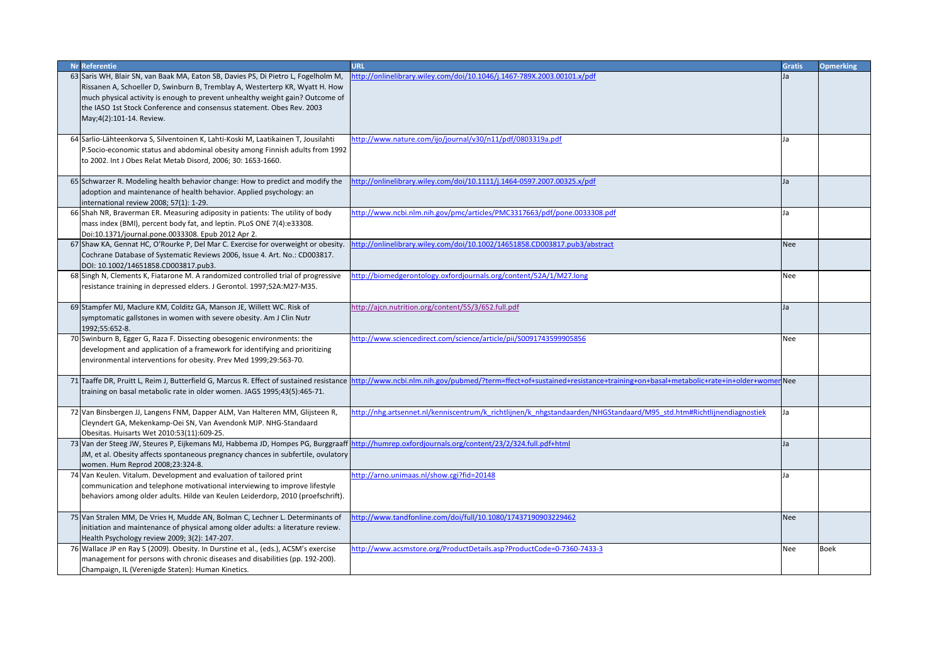| <b>Nr Referentie</b>                                                                                                                                                                                                                                                                                                         | URL                                                                                                                       | <b>Gratis</b> | <b>Opmerking</b> |
|------------------------------------------------------------------------------------------------------------------------------------------------------------------------------------------------------------------------------------------------------------------------------------------------------------------------------|---------------------------------------------------------------------------------------------------------------------------|---------------|------------------|
| 63 Saris WH, Blair SN, van Baak MA, Eaton SB, Davies PS, Di Pietro L, Fogelholm M,<br>Rissanen A, Schoeller D, Swinburn B, Tremblay A, Westerterp KR, Wyatt H. How<br>much physical activity is enough to prevent unhealthy weight gain? Outcome of<br>the IASO 1st Stock Conference and consensus statement. Obes Rev. 2003 | ttp://onlinelibrary.wiley.com/doi/10.1046/j.1467-789X.2003.00101.x/pdf                                                    |               |                  |
| May;4(2):101-14. Review.                                                                                                                                                                                                                                                                                                     |                                                                                                                           |               |                  |
| 64 Sarlio-Lähteenkorva S, Silventoinen K, Lahti-Koski M, Laatikainen T, Jousilahti                                                                                                                                                                                                                                           | http://www.nature.com/ijo/journal/v30/n11/pdf/0803319a.pdf                                                                |               |                  |
| P.Socio-economic status and abdominal obesity among Finnish adults from 1992<br>to 2002. Int J Obes Relat Metab Disord, 2006; 30: 1653-1660.                                                                                                                                                                                 |                                                                                                                           |               |                  |
| 65 Schwarzer R. Modeling health behavior change: How to predict and modify the                                                                                                                                                                                                                                               | http://onlinelibrary.wiley.com/doi/10.1111/j.1464-0597.2007.00325.x/pdf                                                   | Ja            |                  |
| adoption and maintenance of health behavior. Applied psychology: an                                                                                                                                                                                                                                                          |                                                                                                                           |               |                  |
| international review 2008; 57(1): 1-29.                                                                                                                                                                                                                                                                                      |                                                                                                                           |               |                  |
| 66 Shah NR, Braverman ER. Measuring adiposity in patients: The utility of body                                                                                                                                                                                                                                               | http://www.ncbi.nlm.nih.gov/pmc/articles/PMC3317663/pdf/pone.0033308.pdf                                                  | Ja            |                  |
| mass index (BMI), percent body fat, and leptin. PLoS ONE 7(4):e33308.<br>Doi:10.1371/journal.pone.0033308. Epub 2012 Apr 2.                                                                                                                                                                                                  |                                                                                                                           |               |                  |
| 67 Shaw KA, Gennat HC, O'Rourke P, Del Mar C. Exercise for overweight or obesity.                                                                                                                                                                                                                                            | http://onlinelibrary.wiley.com/doi/10.1002/14651858.CD003817.pub3/abstract                                                | Nee           |                  |
| Cochrane Database of Systematic Reviews 2006, Issue 4. Art. No.: CD003817.                                                                                                                                                                                                                                                   |                                                                                                                           |               |                  |
| DOI: 10.1002/14651858.CD003817.pub3.                                                                                                                                                                                                                                                                                         |                                                                                                                           |               |                  |
| 68 Singh N, Clements K, Fiatarone M. A randomized controlled trial of progressive                                                                                                                                                                                                                                            | http://biomedgerontology.oxfordjournals.org/content/52A/1/M27.long                                                        | Nee           |                  |
| resistance training in depressed elders. J Gerontol. 1997;52A:M27-M35.                                                                                                                                                                                                                                                       |                                                                                                                           |               |                  |
| 69 Stampfer MJ, Maclure KM, Colditz GA, Manson JE, Willett WC. Risk of                                                                                                                                                                                                                                                       | http://ajcn.nutrition.org/content/55/3/652.full.pdf                                                                       | Ja            |                  |
| symptomatic gallstones in women with severe obesity. Am J Clin Nutr                                                                                                                                                                                                                                                          |                                                                                                                           |               |                  |
| 1992;55:652-8.                                                                                                                                                                                                                                                                                                               |                                                                                                                           |               |                  |
| 70 Swinburn B, Egger G, Raza F. Dissecting obesogenic environments: the                                                                                                                                                                                                                                                      | http://www.sciencedirect.com/science/article/pii/S0091743599905856                                                        | Nee           |                  |
| development and application of a framework for identifying and prioritizing<br>environmental interventions for obesity. Prev Med 1999;29:563-70.                                                                                                                                                                             |                                                                                                                           |               |                  |
|                                                                                                                                                                                                                                                                                                                              |                                                                                                                           |               |                  |
| 71 Taaffe DR, Pruitt L, Reim J, Butterfield G, Marcus R. Effect of sustained resistance                                                                                                                                                                                                                                      | nttp://www.ncbi.nlm.nih.gov/pubmed/?term=ffect+of+sustained+resistance+training+on+basal+metabolic+rate+in+older+womerNee |               |                  |
| training on basal metabolic rate in older women. JAGS 1995;43(5):465-71.                                                                                                                                                                                                                                                     |                                                                                                                           |               |                  |
| 72 Van Binsbergen JJ, Langens FNM, Dapper ALM, Van Halteren MM, Glijsteen R,                                                                                                                                                                                                                                                 | http://nhg.artsennet.nl/kenniscentrum/k richtlijnen/k nhgstandaarden/NHGStandaard/M95 std.htm#Richtlijnendiagnostiek      | Ja            |                  |
| Cleyndert GA, Mekenkamp-Oei SN, Van Avendonk MJP. NHG-Standaard                                                                                                                                                                                                                                                              |                                                                                                                           |               |                  |
| Obesitas. Huisarts Wet 2010:53(11):609-25.                                                                                                                                                                                                                                                                                   |                                                                                                                           |               |                  |
| 73 Van der Steeg JW, Steures P, Eijkemans MJ, Habbema JD, Hompes PG, Burggraaff http://humrep.oxfordjournals.org/content/23/2/324.full.pdf+html                                                                                                                                                                              |                                                                                                                           | Ja            |                  |
| JM, et al. Obesity affects spontaneous pregnancy chances in subfertile, ovulatory                                                                                                                                                                                                                                            |                                                                                                                           |               |                  |
| women. Hum Reprod 2008;23:324-8.                                                                                                                                                                                                                                                                                             | http://arno.unimaas.nl/show.cgi?fid=20148                                                                                 |               |                  |
| 74 Van Keulen. Vitalum. Development and evaluation of tailored print<br>communication and telephone motivational interviewing to improve lifestyle                                                                                                                                                                           |                                                                                                                           | Ja            |                  |
| behaviors among older adults. Hilde van Keulen Leiderdorp, 2010 (proefschrift).                                                                                                                                                                                                                                              |                                                                                                                           |               |                  |
|                                                                                                                                                                                                                                                                                                                              |                                                                                                                           |               |                  |
| 75 Van Stralen MM, De Vries H, Mudde AN, Bolman C, Lechner L. Determinants of                                                                                                                                                                                                                                                | ttp://www.tandfonline.com/doi/full/10.1080/17437190903229462                                                              | Nee           |                  |
| initiation and maintenance of physical among older adults: a literature review.                                                                                                                                                                                                                                              |                                                                                                                           |               |                  |
| Health Psychology review 2009; 3(2): 147-207.                                                                                                                                                                                                                                                                                |                                                                                                                           |               |                  |
| 76 Wallace JP en Ray S (2009). Obesity. In Durstine et al., (eds.), ACSM's exercise<br>management for persons with chronic diseases and disabilities (pp. 192-200).                                                                                                                                                          | http://www.acsmstore.org/ProductDetails.asp?ProductCode=0-7360-7433-3                                                     | Nee           | <b>Boek</b>      |
| Champaign, IL (Verenigde Staten): Human Kinetics.                                                                                                                                                                                                                                                                            |                                                                                                                           |               |                  |